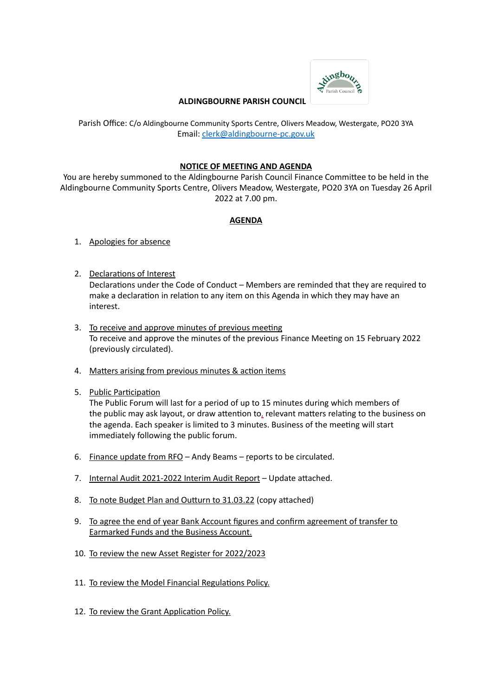

## **ALDINGBOURNE PARISH COUNCIL**

Parish Office: C/o Aldingbourne Community Sports Centre, Olivers Meadow, Westergate, PO20 3YA Email: [clerk@aldingbourne-pc.gov.uk](mailto:clerk@aldingbourne-pc.gov.uk)

## **NOTICE OF MEETING AND AGENDA**

You are hereby summoned to the Aldingbourne Parish Council Finance Committee to be held in the Aldingbourne Community Sports Centre, Olivers Meadow, Westergate, PO20 3YA on Tuesday 26 April 2022 at 7.00 pm.

## **AGENDA**

- 1. Apologies for absence
- 2. Declarations of Interest Declarations under the Code of Conduct – Members are reminded that they are required to make a declaration in relation to any item on this Agenda in which they may have an interest.
- 3. To receive and approve minutes of previous meeting To receive and approve the minutes of the previous Finance Meeting on 15 February 2022 (previously circulated).
- 4. Matters arising from previous minutes & action items
- 5. Public Participation

The Public Forum will last for a period of up to 15 minutes during which members of the public may ask layout, or draw attention to, relevant matters relating to the business on the agenda. Each speaker is limited to 3 minutes. Business of the meeting will start immediately following the public forum.

- 6. Finance update from RFO Andy Beams reports to be circulated.
- 7. Internal Audit 2021-2022 Interim Audit Report Update attached.
- 8. To note Budget Plan and Outturn to 31.03.22 (copy attached)
- 9. To agree the end of year Bank Account figures and confirm agreement of transfer to Earmarked Funds and the Business Account.
- 10. To review the new Asset Register for 2022/2023
- 11. To review the Model Financial Regulations Policy.
- 12. To review the Grant Application Policy.